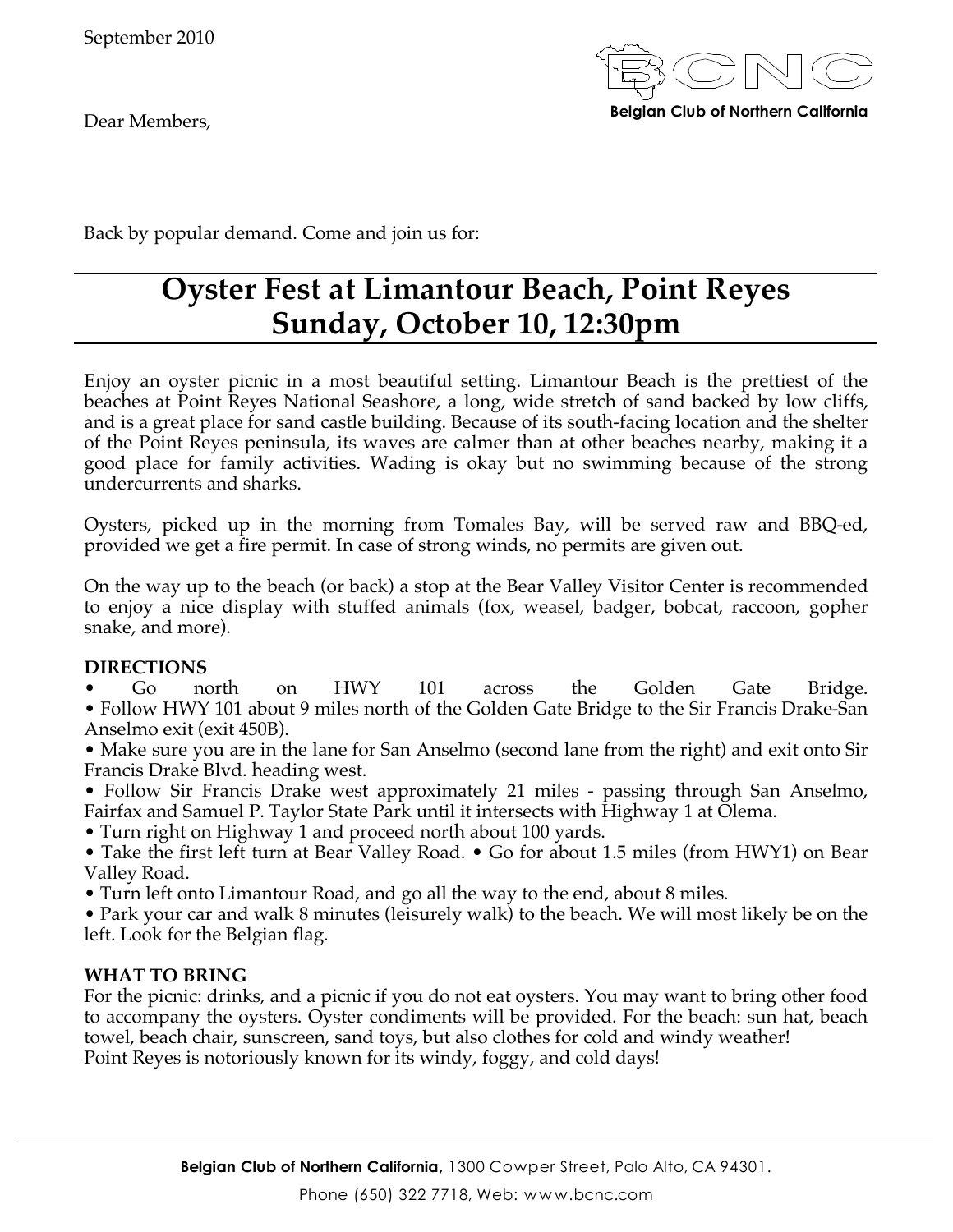Dear Members,



Back by popular demand. Come and join us for:

## **Oyster Fest at Limantour Beach, Point Reyes Sunday, October 10, 12:30pm**

Enjoy an oyster picnic in a most beautiful setting. Limantour Beach is the prettiest of the beaches at Point Reyes National Seashore, a long, wide stretch of sand backed by low cliffs, and is a great place for sand castle building. Because of its south-facing location and the shelter of the Point Reyes peninsula, its waves are calmer than at other beaches nearby, making it a good place for family activities. Wading is okay but no swimming because of the strong undercurrents and sharks.

Oysters, picked up in the morning from Tomales Bay, will be served raw and BBQ-ed, provided we get a fire permit. In case of strong winds, no permits are given out.

On the way up to the beach (or back) a stop at the Bear Valley Visitor Center is recommended to enjoy a nice display with stuffed animals (fox, weasel, badger, bobcat, raccoon, gopher snake, and more).

### **DIRECTIONS**

• Go north on HWY 101 across the Golden Gate Bridge. • Follow HWY 101 about 9 miles north of the Golden Gate Bridge to the Sir Francis Drake-San Anselmo exit (exit 450B).

• Make sure you are in the lane for San Anselmo (second lane from the right) and exit onto Sir Francis Drake Blvd. heading west.

• Follow Sir Francis Drake west approximately 21 miles - passing through San Anselmo, Fairfax and Samuel P. Taylor State Park until it intersects with Highway 1 at Olema.

- Turn right on Highway 1 and proceed north about 100 yards.
- Take the first left turn at Bear Valley Road. Go for about 1.5 miles (from HWY1) on Bear Valley Road.
- Turn left onto Limantour Road, and go all the way to the end, about 8 miles.

• Park your car and walk 8 minutes (leisurely walk) to the beach. We will most likely be on the left. Look for the Belgian flag.

### **WHAT TO BRING**

For the picnic: drinks, and a picnic if you do not eat oysters. You may want to bring other food to accompany the oysters. Oyster condiments will be provided. For the beach: sun hat, beach towel, beach chair, sunscreen, sand toys, but also clothes for cold and windy weather! Point Reyes is notoriously known for its windy, foggy, and cold days!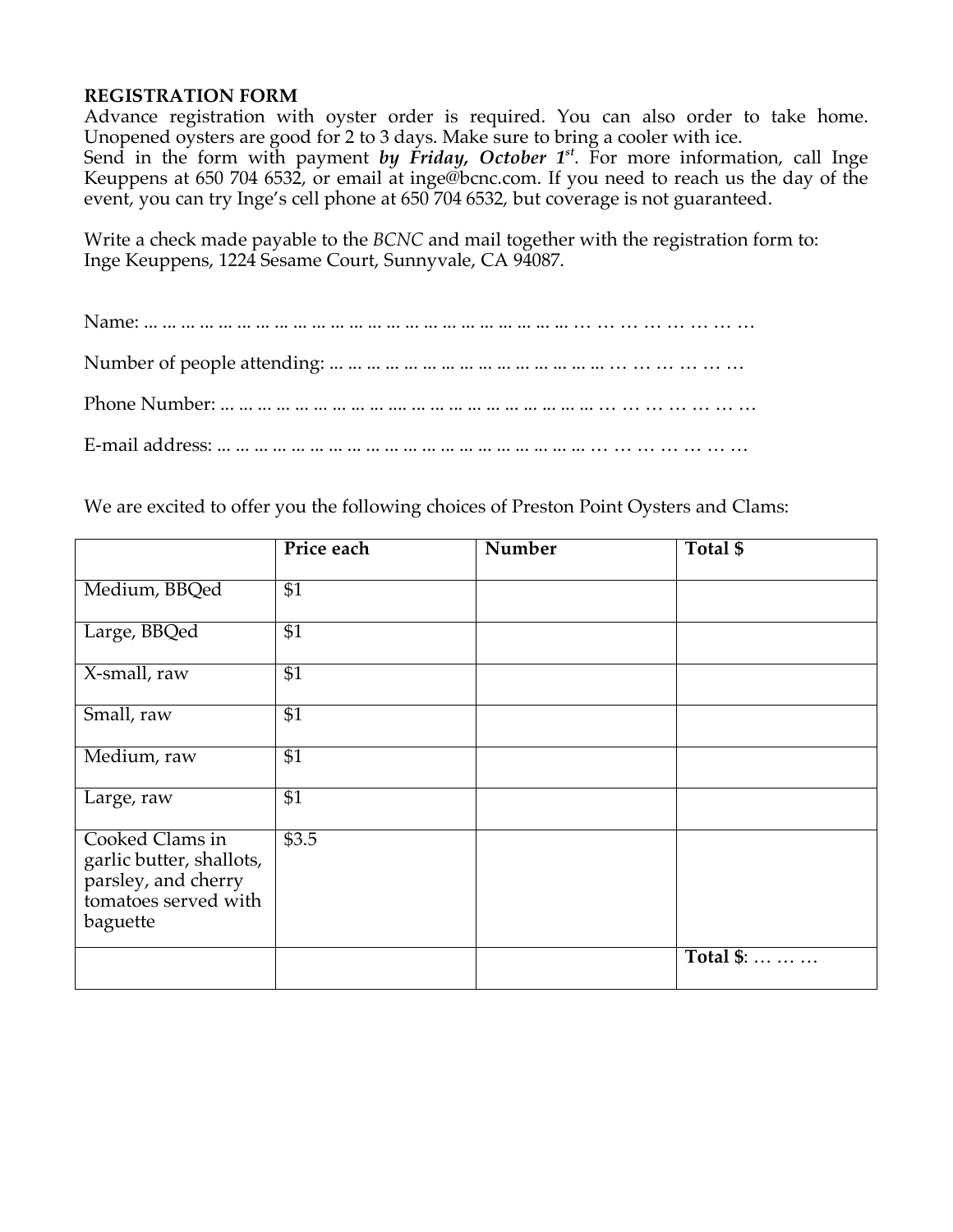### **REGISTRATION FORM**

Advance registration with oyster order is required. You can also order to take home. Unopened oysters are good for 2 to 3 days. Make sure to bring a cooler with ice. Send in the form with payment *by Friday, October 1<sup>st</sup>*. For more information, call Inge Keuppens at 650 704 6532, or email at inge@bcnc.com. If you need to reach us the day of the event, you can try Inge's cell phone at 650 704 6532, but coverage is not guaranteed.

Write a check made payable to the *BCNC* and mail together with the registration form to: Inge Keuppens, 1224 Sesame Court, Sunnyvale, CA 94087.

We are excited to offer you the following choices of Preston Point Oysters and Clams:

|                                                                                                        | Price each      | Number | Total \$  |
|--------------------------------------------------------------------------------------------------------|-----------------|--------|-----------|
| Medium, BBQed                                                                                          | \$1             |        |           |
| Large, BBQed                                                                                           | $\overline{$1}$ |        |           |
| X-small, raw                                                                                           | $\overline{$1}$ |        |           |
| Small, raw                                                                                             | \$1             |        |           |
| Medium, raw                                                                                            | \$1             |        |           |
| Large, raw                                                                                             | $\overline{$1}$ |        |           |
| Cooked Clams in<br>garlic butter, shallots,<br>parsley, and cherry<br>tomatoes served with<br>baguette | \$3.5           |        |           |
|                                                                                                        |                 |        | Total \$: |